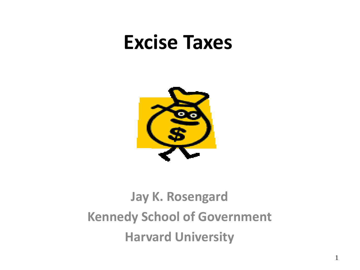### **Excise Taxes**



### **Jay K. Rosengard Kennedy School of Government Harvard University**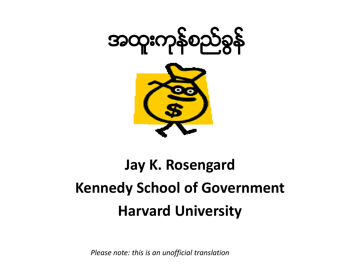



# **Jay K. Rosengard Kennedy School of Government Harvard University**

*Please note: this is an unofficial translation*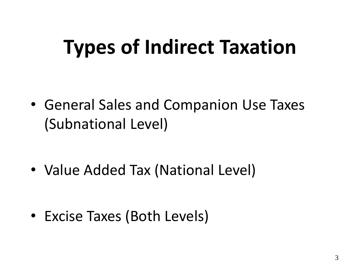# **Types of Indirect Taxation**

• General Sales and Companion Use Taxes (Subnational Level)

• Value Added Tax (National Level)

• Excise Taxes (Both Levels)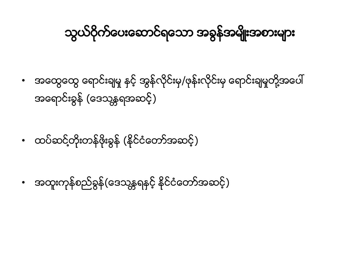### သွယ်ဝိုက်ပေးဆောင်ရသော အခွန်အမျိုးအစားများ

- အထွေထွေ ရောင်းချမှု နှင့် အွန်လိုင်းမှ/ဖုန်းလိုင်းမှ ရောင်းချမှုတို့အပေါ် အရောင်းခွန် (ဒေသန္တရအဆင့်)
- ထပ်ဆင့်တိုးတန်ဖိုးခွန် (နိုင်ငံတော်အဆင့်)
- အထူးကုန်စည်ခွန်(ဒေသန္တရနှင့် နိုင်ငံတော်အဆင့်)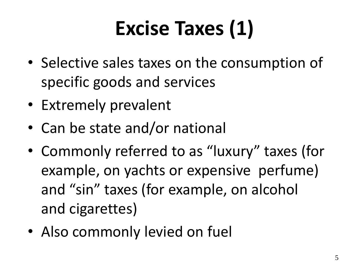# **Excise Taxes (1)**

- Selective sales taxes on the consumption of specific goods and services
- Extremely prevalent
- Can be state and/or national
- Commonly referred to as "luxury" taxes (for example, on yachts or expensive perfume) and "sin" taxes (for example, on alcohol and cigarettes)
- Also commonly levied on fuel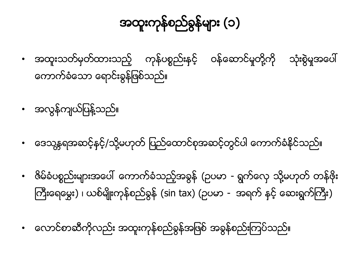### အထူးကုန္စည္ခြန္မ်ား (၁)

- အထူးသတ်မှတ်ထားသည့် ကုန်ပစ္စည်းနင့် ဝန်ဆောင်မှုတို့ကို းစွဲမှုအပေါ် ေကာက္ခံေသာ ေရာင္းခြန္ျဖစ္သည္။
- အလွန်ကျယ်ပြန့်သည်။
- ေဒေသန္တရအဆင့်နင့္/သို့မဟုတ် ပြည်ထောင်စုအဆင့်တွင်ပါ ေကာက်ခံနိုင်သည်။
- ဇိမ်ခံပစ္စည်းများအပေါ် ကောက်ခံသည့်အခွန် (ဥပမာ ရွက်လှေ သို့မဟုတ် တန်ဖိုး ကြီးရေမွေး) ၊ ယစ်မျိုးကုန်စည်ခွန် (sin tax) (ဥပမာ - အရက် နှင့် ဆေးရွက်ကြီး)
- လောင်စာဆီကိုလည်း အထူးကုန်စည်ခွန်အဖြစ် အခွန်စည်းကြပ်သည်။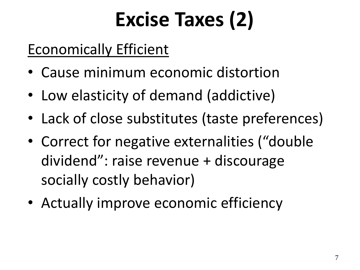# **Excise Taxes (2)**

#### Economically Efficient

- Cause minimum economic distortion
- Low elasticity of demand (addictive)
- Lack of close substitutes (taste preferences)
- Correct for negative externalities ("double dividend": raise revenue + discourage socially costly behavior)
- Actually improve economic efficiency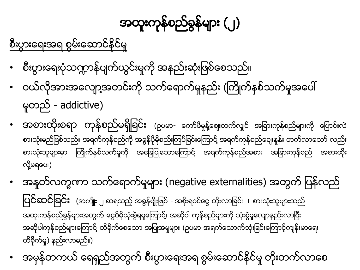# အထူးကုန္စည္ခြန္မ်ား (၂)

စီးပွားေရးအရ စွမ်းေဆာင်နိုင်မှု

- စီးပွားရေးပုံသဣာာန်ပျက်ယွင်းမှုကို အနည်းဆုံးဖြစ်စေသည်။
- ဝယ်လိုအားအလျော့အတင်းကို သက်ရောက်မှုနည်း (ကြိုက်နစ်သက်မှုအပေါ် မူတည် - addictive)
- အစားထိုးစရာ ကုန်စည်မရှိခြင်း (ဥပမာ- ကော်ဇီမှုန့်ဈေးတက်လျှင် အခြားကုန်စည်များကို ပြောင်းလဲ စားသုံးမည်ဖြစ်သည်။ အရက်ကုန်စည်ကို အခွန်ပိုမိုစည်းကြပဲခြင်းကြောင့် အရက်ကုန်စည်ဈေးနူနဲး တက်လာသော် လည်း စားသုံးသူများမှာ ကြိုက်နစ်သက်မှုကို အခြေပြုသောကြောင့် အရက်ကုန်စည်အစား အခြားကုန်စည် အစားထိုး ု လိ ု႔မရေပ၊)
- အနုတ်လက္ခဏာ သက်ရောက်မှုများ (negative externalities) အတွက် ပြန်လည် ျပင္ဆင္ျခင္ း (အက်ိဳး <sup>၂</sup> ဆရသည့္အခြန္မ်ိဳးျဖစ္- အစိုးရဝင္ေငြ တိ းလာျခင္ း + စားသံု းသူမ်ားသည္ ု အထူးကုန်စည်စွန်များအတွက် ငွေပိုမိုသုံးစွဲရမှုကြောင့်၊ အဆိုပါ ကုန်စည်များကို သုံးစွဲမှုလျော့နည်းလာပြီး အဆိုပါကုနဲစည်များကြောင့် ထိခိုက်စေသော အပြုအမူများ (ဥပမာ အရက်သောက်သုံးခြင်းကြောင့်ကျန်းမာရေး ထိခိုက်မှု) နည်းလာမည်။)
- အမုနိတကယ် ရေရှည်အတွက် စီးပွားရေးအရ စွမ်းဆောင်နိုင်မှု တိုးတက်လာစေ ု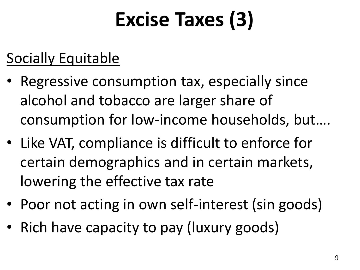# **Excise Taxes (3)**

#### Socially Equitable

- Regressive consumption tax, especially since alcohol and tobacco are larger share of consumption for low-income households, but….
- Like VAT, compliance is difficult to enforce for certain demographics and in certain markets, lowering the effective tax rate
- Poor not acting in own self-interest (sin goods)
- Rich have capacity to pay (luxury goods)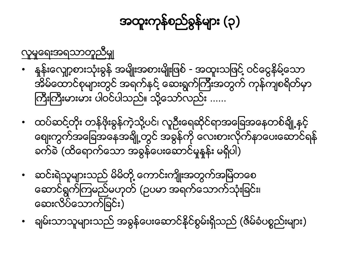### အထူးကုန္စည္ခြန္မ်ား (၃)

လူမှုရေးအရသာတူညီမှုု

- နန်းလျော့စားသုံးခွန် အမျိုးအစားမျိုးဖြစ် အထူးသဖြင့် ဝင်ငွေနိမ့်သော အိမ်ထောင်စုများတွင် အရက်နင် ့ဆေးရွက်ကြီးအတွက် ကုန်ကျစရိတ်မှာ ကြီးကြီးမားမား ပါဝင်ပါသည်။ သို့သော်လည်း ......
- ထပ်ဆင့်တိုး တန်ဖိုးခွန်ကဲ့သို့ပင်၊ လူဦးရေဆိုင်ရာအခြေအနေတစ်ချို့နှင့် ကျေးကွက်အခြေအနေအချို့တွင် အခွန်ကို လေးစားလိုက်နာပေးဆောင်ရန် ခက်ခဲ (ထိရောက်သော အခွန်ပေးဆောင်မှုနန်း မရှိပါ)
- ဆင်းရဲသူများသည် မိမိတို့ ကောင်းကျိုးအတွက်အမြဲတစေ ေဆာင္ရ ြက္ၾကမည္မဟုတ္(ဥပမာ အရက္ေသာက္သုံးျခင္း၊ ေဆးလိပ္ေသာက္ျခင္း)
- ချမ်းသာသူများသည် အခွန်ပေးဆောင်နိုင်စွမ်းရှိသည် (ဇိမ်ခံပစ္စည်းများ)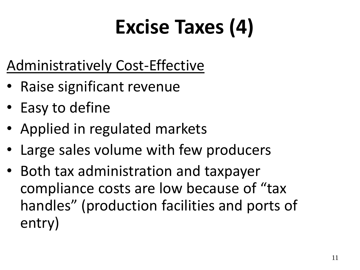# **Excise Taxes (4)**

### Administratively Cost-Effective

- Raise significant revenue
- Easy to define
- Applied in regulated markets
- Large sales volume with few producers
- Both tax administration and taxpayer compliance costs are low because of "tax handles" (production facilities and ports of entry)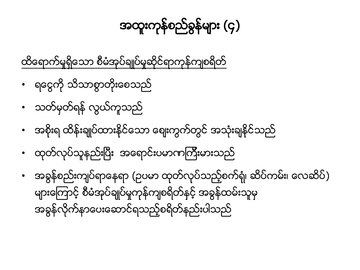#### • အခ ြန္စည္းက်ပ္ရာေနရာ (ဥပမာ ထုတ္လုပ္သည့္စက္ရုံ၊ ဆိပ္ကမ္း၊ ေလဆိပ္) များကြောင့် စီမံအုပ်ချုပ်မှုကုန်ကျစရိတ်နှင့် အခွန်ထမ်းသူမှ အခြန္လိုက္နာေပးေဆာင္ရသည့္စရိတ္နည္းပါသည္

- ထုတ်လုပ်သူနည်းပြီး အရောင်းပမာဏကြီးမားသည်
- အစိုးရ ထိန်းချုပ်ထားနိုင်သော စျေးကွက်တွင် အသုံးချနိုင်သည်
- သတ်မှတ်ရန် လွယ်ကူသည်
- ရင္ငေကို သိသာစွာတိုးစေသည်

ထိရောက်မှုရှိသော စီမံအုပ်ချုပ်မှုဆိုင်ရာကုန်ကျစရိတ်

### အထူးကုန္စည္ခြန္မ်ား (၄)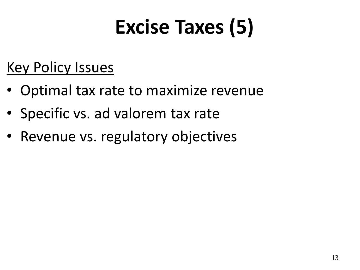# **Excise Taxes (5)**

#### Key Policy Issues

- Optimal tax rate to maximize revenue
- Specific vs. ad valorem tax rate
- Revenue vs. regulatory objectives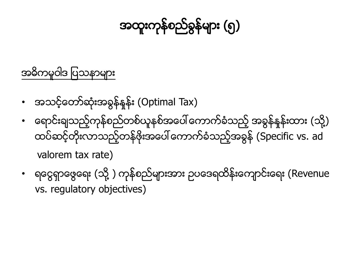### အထူးကုန္စည္ခြန္မ်ား (၅)

#### အဓိကမူဝါဒ ပြသနာများ

- အသင့်တော်ဆုံးအခွန်နန်း (Optimal Tax)
- ေရောင်းချသည့်ကုန်စည်တစ်ယူနစ်အပေါ် ကောက်ခံသည့် အခွန်နုန်းထား (သို့) ထပ်ဆင့်တိုးလာသည့်တန်ဖိုးအပေါ် ကောက်ခံသည့်အခွန် (Specific vs. ad valorem tax rate)
- ရင္ဂေရာဖွေရေး (သို့ ) ကုန်စည်များအား ဥပဒေရထိန်းကျောင်းရေး (Revenue vs. regulatory objectives)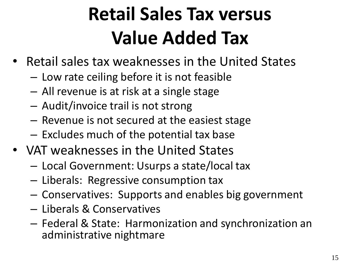# **Retail Sales Tax versus Value Added Tax**

- Retail sales tax weaknesses in the United States
	- Low rate ceiling before it is not feasible
	- All revenue is at risk at a single stage
	- Audit/invoice trail is not strong
	- Revenue is not secured at the easiest stage
	- Excludes much of the potential tax base
- VAT weaknesses in the United States
	- Local Government: Usurps a state/local tax
	- Liberals: Regressive consumption tax
	- Conservatives: Supports and enables big government
	- Liberals & Conservatives
	- Federal & State: Harmonization and synchronization an administrative nightmare